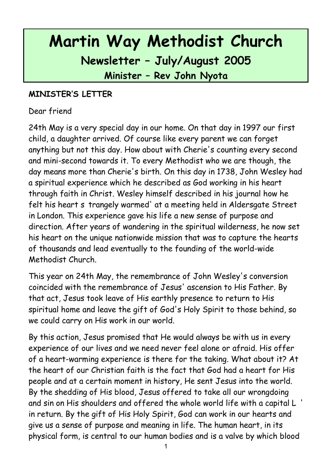# **Martin Way Methodist Church Newsletter – July/August 2005 Minister – Rev John Nyota**

#### **MINISTER'S LETTER**

#### Dear friend

24th May is a very special day in our home. On that day in 1997 our first child, a daughter arrived. Of course like every parent we can forget anything but not this day. How about with Cherie's counting every second and mini-second towards it. To every Methodist who we are though, the day means more than Cherie's birth. On this day in 1738, John Wesley had a spiritual experience which he described as God working in his heart through faith in Christ. Wesley himself described in his journal how he felt his heart s trangely warmed' at a meeting held in Aldersgate Street in London. This experience gave his life a new sense of purpose and direction. After years of wandering in the spiritual wilderness, he now set his heart on the unique nationwide mission that was to capture the hearts of thousands and lead eventually to the founding of the world-wide Methodist Church.

This year on 24th May, the remembrance of John Wesley's conversion coincided with the remembrance of Jesus' ascension to His Father. By that act, Jesus took leave of His earthly presence to return to His spiritual home and leave the gift of God's Holy Spirit to those behind, so we could carry on His work in our world.

By this action, Jesus promised that He would always be with us in every experience of our lives and we need never feel alone or afraid. His offer of a heart-warming experience is there for the taking. What about it? At the heart of our Christian faith is the fact that God had a heart for His people and at a certain moment in history, He sent Jesus into the world. By the shedding of His blood, Jesus offered to take all our wrongdoing and sin on His shoulders and offered the whole world life with a capital L ' in return. By the gift of His Holy Spirit, God can work in our hearts and give us a sense of purpose and meaning in life. The human heart, in its physical form, is central to our human bodies and is a valve by which blood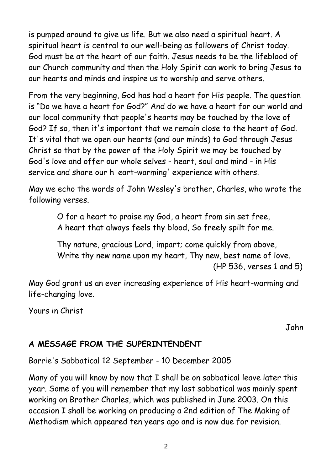is pumped around to give us life. But we also need a spiritual heart. A spiritual heart is central to our well-being as followers of Christ today. God must be at the heart of our faith. Jesus needs to be the lifeblood of our Church community and then the Holy Spirit can work to bring Jesus to our hearts and minds and inspire us to worship and serve others.

From the very beginning, God has had a heart for His people. The question is "Do we have a heart for God?" And do we have a heart for our world and our local community that people's hearts may be touched by the love of God? If so, then it's important that we remain close to the heart of God. It's vital that we open our hearts (and our minds) to God through Jesus Christ so that by the power of the Holy Spirit we may be touched by God's love and offer our whole selves - heart, soul and mind - in His service and share our h eart-warming' experience with others.

May we echo the words of John Wesley's brother, Charles, who wrote the following verses.

> O for a heart to praise my God, a heart from sin set free, A heart that always feels thy blood, So freely spilt for me.

Thy nature, gracious Lord, impart; come quickly from above, Write thy new name upon my heart, Thy new, best name of love. (HP 536, verses 1 and 5)

May God grant us an ever increasing experience of His heart-warming and life-changing love.

Yours in Christ

John

## **A MESSAGE FROM THE SUPERINTENDENT**

Barrie's Sabbatical 12 September - 10 December 2005

Many of you will know by now that I shall be on sabbatical leave later this year. Some of you will remember that my last sabbatical was mainly spent working on Brother Charles, which was published in June 2003. On this occasion I shall be working on producing a 2nd edition of The Making of Methodism which appeared ten years ago and is now due for revision.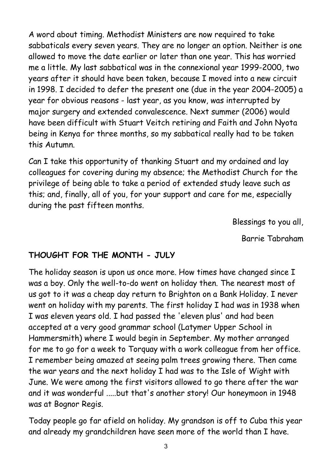A word about timing. Methodist Ministers are now required to take sabbaticals every seven years. They are no longer an option. Neither is one allowed to move the date earlier or later than one year. This has worried me a little. My last sabbatical was in the connexional year 1999-2000, two years after it should have been taken, because I moved into a new circuit in 1998. I decided to defer the present one (due in the year 2004-2005) a year for obvious reasons - last year, as you know, was interrupted by major surgery and extended convalescence. Next summer (2006) would have been difficult with Stuart Veitch retiring and Faith and John Nyota being in Kenya for three months, so my sabbatical really had to be taken this Autumn.

Can I take this opportunity of thanking Stuart and my ordained and lay colleagues for covering during my absence; the Methodist Church for the privilege of being able to take a period of extended study leave such as this; and, finally, all of you, for your support and care for me, especially during the past fifteen months.

Blessings to you all,

Barrie Tabraham

## **THOUGHT FOR THE MONTH - JULY**

The holiday season is upon us once more. How times have changed since I was a boy. Only the well-to-do went on holiday then. The nearest most of us got to it was a cheap day return to Brighton on a Bank Holiday. I never went on holiday with my parents. The first holiday I had was in 1938 when I was eleven years old. I had passed the 'eleven plus' and had been accepted at a very good grammar school (Latymer Upper School in Hammersmith) where I would begin in September. My mother arranged for me to go for a week to Torquay with a work colleague from her office. I remember being amazed at seeing palm trees growing there. Then came the war years and the next holiday I had was to the Isle of Wight with June. We were among the first visitors allowed to go there after the war and it was wonderful .....but that's another story! Our honeymoon in 1948 was at Bognor Regis.

Today people go far afield on holiday. My grandson is off to Cuba this year and already my grandchildren have seen more of the world than I have.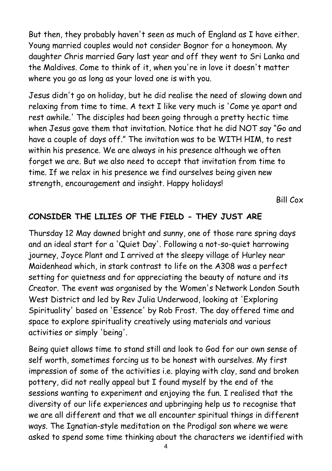But then, they probably haven't seen as much of England as I have either. Young married couples would not consider Bognor for a honeymoon. My daughter Chris married Gary last year and off they went to Sri Lanka and the Maldives. Come to think of it, when you're in love it doesn't matter where you go as long as your loved one is with you.

Jesus didn't go on holiday, but he did realise the need of slowing down and relaxing from time to time. A text I like very much is 'Come ye apart and rest awhile.' The disciples had been going through a pretty hectic time when Jesus gave them that invitation. Notice that he did NOT say "Go and have a couple of days off." The invitation was to be WITH HIM, to rest within his presence. We are always in his presence although we often forget we are. But we also need to accept that invitation from time to time. If we relax in his presence we find ourselves being given new strength, encouragement and insight. Happy holidays!

Bill Cox

## **CONSIDER THE LILIES OF THE FIELD - THEY JUST ARE**

Thursday 12 May dawned bright and sunny, one of those rare spring days and an ideal start for a 'Quiet Day'. Following a not-so-quiet harrowing journey, Joyce Plant and I arrived at the sleepy village of Hurley near Maidenhead which, in stark contrast to life on the A308 was a perfect setting for quietness and for appreciating the beauty of nature and its Creator. The event was organised by the Women's Network London South West District and led by Rev Julia Underwood, looking at 'Exploring Spirituality' based on 'Essence' by Rob Frost. The day offered time and space to explore spirituality creatively using materials and various activities or simply 'being'.

Being quiet allows time to stand still and look to God for our own sense of self worth, sometimes forcing us to be honest with ourselves. My first impression of some of the activities i.e. playing with clay, sand and broken pottery, did not really appeal but I found myself by the end of the sessions wanting to experiment and enjoying the fun. I realised that the diversity of our life experiences and upbringing help us to recognise that we are all different and that we all encounter spiritual things in different ways. The Ignatian-style meditation on the Prodigal son where we were asked to spend some time thinking about the characters we identified with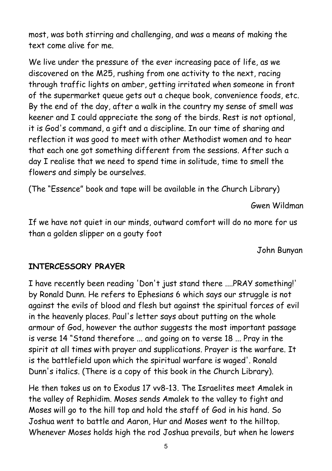most, was both stirring and challenging, and was a means of making the text come alive for me.

We live under the pressure of the ever increasing pace of life, as we discovered on the M25, rushing from one activity to the next, racing through traffic lights on amber, getting irritated when someone in front of the supermarket queue gets out a cheque book, convenience foods, etc. By the end of the day, after a walk in the country my sense of smell was keener and I could appreciate the song of the birds. Rest is not optional, it is God's command, a gift and a discipline. In our time of sharing and reflection it was good to meet with other Methodist women and to hear that each one got something different from the sessions. After such a day I realise that we need to spend time in solitude, time to smell the flowers and simply be ourselves.

(The "Essence" book and tape will be available in the Church Library)

Gwen Wildman

If we have not quiet in our minds, outward comfort will do no more for us than a golden slipper on a gouty foot

John Bunyan

#### **INTERCESSORY PRAYER**

I have recently been reading 'Don't just stand there ....PRAY something!' by Ronald Dunn. He refers to Ephesians 6 which says our struggle is not against the evils of blood and flesh but against the spiritual forces of evil in the heavenly places. Paul's letter says about putting on the whole armour of God, however the author suggests the most important passage is verse 14 "Stand therefore ... and going on to verse 18 ... Pray in the spirit at all times with prayer and supplications. Prayer is the warfare. It is the battlefield upon which the spiritual warfare is waged'. Ronald Dunn's italics. (There is a copy of this book in the Church Library).

He then takes us on to Exodus 17 vv8-13. The Israelites meet Amalek in the valley of Rephidim. Moses sends Amalek to the valley to fight and Moses will go to the hill top and hold the staff of God in his hand. So Joshua went to battle and Aaron, Hur and Moses went to the hilltop. Whenever Moses holds high the rod Joshua prevails, but when he lowers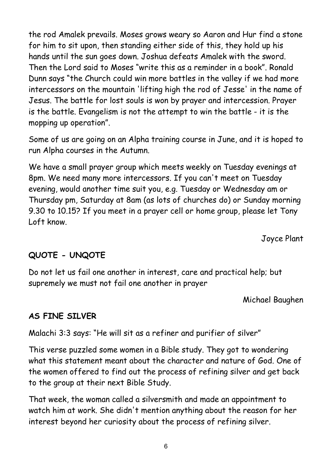the rod Amalek prevails. Moses grows weary so Aaron and Hur find a stone for him to sit upon, then standing either side of this, they hold up his hands until the sun goes down. Joshua defeats Amalek with the sword. Then the Lord said to Moses "write this as a reminder in a book". Ronald Dunn says "the Church could win more battles in the valley if we had more intercessors on the mountain 'lifting high the rod of Jesse' in the name of Jesus. The battle for lost souls is won by prayer and intercession. Prayer is the battle. Evangelism is not the attempt to win the battle - it is the mopping up operation".

Some of us are going on an Alpha training course in June, and it is hoped to run Alpha courses in the Autumn.

We have a small prayer group which meets weekly on Tuesday evenings at 8pm. We need many more intercessors. If you can't meet on Tuesday evening, would another time suit you, e.g. Tuesday or Wednesday am or Thursday pm, Saturday at 8am (as lots of churches do) or Sunday morning 9.30 to 10.15? If you meet in a prayer cell or home group, please let Tony Loft know.

Joyce Plant

## **QUOTE - UNQOTE**

Do not let us fail one another in interest, care and practical help; but supremely we must not fail one another in prayer

Michael Baughen

# **AS FINE SILVER**

Malachi 3:3 says: "He will sit as a refiner and purifier of silver"

This verse puzzled some women in a Bible study. They got to wondering what this statement meant about the character and nature of God. One of the women offered to find out the process of refining silver and get back to the group at their next Bible Study.

That week, the woman called a silversmith and made an appointment to watch him at work. She didn't mention anything about the reason for her interest beyond her curiosity about the process of refining silver.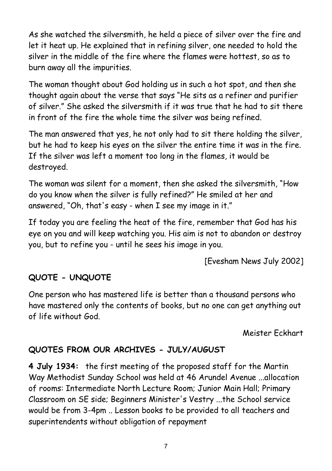As she watched the silversmith, he held a piece of silver over the fire and let it heat up. He explained that in refining silver, one needed to hold the silver in the middle of the fire where the flames were hottest, so as to burn away all the impurities.

The woman thought about God holding us in such a hot spot, and then she thought again about the verse that says "He sits as a refiner and purifier of silver." She asked the silversmith if it was true that he had to sit there in front of the fire the whole time the silver was being refined.

The man answered that yes, he not only had to sit there holding the silver, but he had to keep his eyes on the silver the entire time it was in the fire. If the silver was left a moment too long in the flames, it would be destroyed.

The woman was silent for a moment, then she asked the silversmith, "How do you know when the silver is fully refined?" He smiled at her and answered, "Oh, that's easy - when I see my image in it."

If today you are feeling the heat of the fire, remember that God has his eye on you and will keep watching you. His aim is not to abandon or destroy you, but to refine you - until he sees his image in you.

[Evesham News July 2002]

# **QUOTE - UNQUOTE**

One person who has mastered life is better than a thousand persons who have mastered only the contents of books, but no one can get anything out of life without God.

Meister Eckhart

## **QUOTES FROM OUR ARCHIVES - JULY/AUGUST**

**4 July 1934:** the first meeting of the proposed staff for the Martin Way Methodist Sunday School was held at 46 Arundel Avenue ...allocation of rooms: Intermediate North Lecture Room; Junior Main Hall; Primary Classroom on SE side; Beginners Minister's Vestry ...the School service would be from 3-4pm .. Lesson books to be provided to all teachers and superintendents without obligation of repayment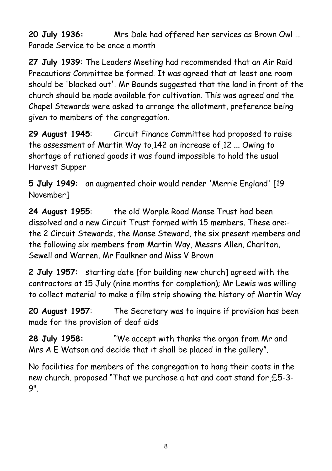**20 July 1936:** Mrs Dale had offered her services as Brown Owl ... Parade Service to be once a month

**27 July 1939**: The Leaders Meeting had recommended that an Air Raid Precautions Committee be formed. It was agreed that at least one room should be 'blacked out'. Mr Bounds suggested that the land in front of the church should be made available for cultivation. This was agreed and the Chapel Stewards were asked to arrange the allotment, preference being given to members of the congregation.

**29 August 1945**: Circuit Finance Committee had proposed to raise the assessment of Martin Way to 142 an increase of 12 ... Owing to shortage of rationed goods it was found impossible to hold the usual Harvest Supper

**5 July 1949**: an augmented choir would render 'Merrie England' [19 November]

**24 August 1955**: the old Worple Road Manse Trust had been dissolved and a new Circuit Trust formed with 15 members. These are: the 2 Circuit Stewards, the Manse Steward, the six present members and the following six members from Martin Way, Messrs Allen, Charlton, Sewell and Warren, Mr Faulkner and Miss V Brown

**2 July 1957**: starting date [for building new church] agreed with the contractors at 15 July (nine months for completion); Mr Lewis was willing to collect material to make a film strip showing the history of Martin Way

**20 August 1957**: The Secretary was to inquire if provision has been made for the provision of deaf aids

**28 July 1958:** "We accept with thanks the organ from Mr and Mrs A E Watson and decide that it shall be placed in the gallery".

No facilities for members of the congregation to hang their coats in the new church. proposed "That we purchase a hat and coat stand for £5-3- 9".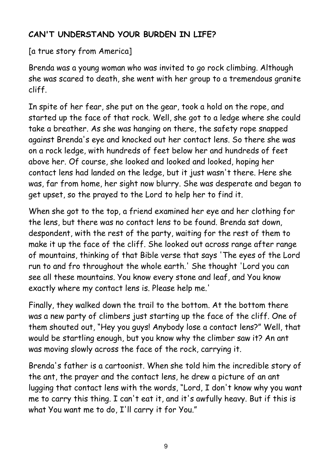# **CAN'T UNDERSTAND YOUR BURDEN IN LIFE?**

[a true story from America]

Brenda was a young woman who was invited to go rock climbing. Although she was scared to death, she went with her group to a tremendous granite cliff.

In spite of her fear, she put on the gear, took a hold on the rope, and started up the face of that rock. Well, she got to a ledge where she could take a breather. As she was hanging on there, the safety rope snapped against Brenda's eye and knocked out her contact lens. So there she was on a rock ledge, with hundreds of feet below her and hundreds of feet above her. Of course, she looked and looked and looked, hoping her contact lens had landed on the ledge, but it just wasn't there. Here she was, far from home, her sight now blurry. She was desperate and began to get upset, so the prayed to the Lord to help her to find it.

When she got to the top, a friend examined her eye and her clothing for the lens, but there was no contact lens to be found. Brenda sat down, despondent, with the rest of the party, waiting for the rest of them to make it up the face of the cliff. She looked out across range after range of mountains, thinking of that Bible verse that says 'The eyes of the Lord run to and fro throughout the whole earth.' She thought 'Lord you can see all these mountains. You know every stone and leaf, and You know exactly where my contact lens is. Please help me.'

Finally, they walked down the trail to the bottom. At the bottom there was a new party of climbers just starting up the face of the cliff. One of them shouted out, "Hey you guys! Anybody lose a contact lens?" Well, that would be startling enough, but you know why the climber saw it? An ant was moving slowly across the face of the rock, carrying it.

Brenda's father is a cartoonist. When she told him the incredible story of the ant, the prayer and the contact lens, he drew a picture of an ant lugging that contact lens with the words, "Lord, I don't know why you want me to carry this thing. I can't eat it, and it's awfully heavy. But if this is what You want me to do, I'll carry it for You."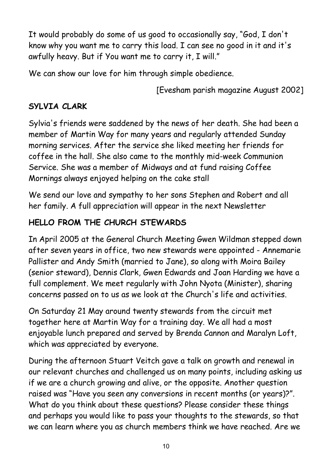It would probably do some of us good to occasionally say, "God, I don't know why you want me to carry this load. I can see no good in it and it's awfully heavy. But if You want me to carry it, I will."

We can show our love for him through simple obedience.

[Evesham parish magazine August 2002]

# **SYLVIA CLARK**

Sylvia's friends were saddened by the news of her death. She had been a member of Martin Way for many years and regularly attended Sunday morning services. After the service she liked meeting her friends for coffee in the hall. She also came to the monthly mid-week Communion Service. She was a member of Midways and at fund raising Coffee Mornings always enjoyed helping on the cake stall

We send our love and sympathy to her sons Stephen and Robert and all her family. A full appreciation will appear in the next Newsletter

# **HELLO FROM THE CHURCH STEWARDS**

In April 2005 at the General Church Meeting Gwen Wildman stepped down after seven years in office, two new stewards were appointed - Annemarie Pallister and Andy Smith (married to Jane), so along with Moira Bailey (senior steward), Dennis Clark, Gwen Edwards and Joan Harding we have a full complement. We meet regularly with John Nyota (Minister), sharing concerns passed on to us as we look at the Church's life and activities.

On Saturday 21 May around twenty stewards from the circuit met together here at Martin Way for a training day. We all had a most enjoyable lunch prepared and served by Brenda Cannon and Maralyn Loft, which was appreciated by everyone.

During the afternoon Stuart Veitch gave a talk on growth and renewal in our relevant churches and challenged us on many points, including asking us if we are a church growing and alive, or the opposite. Another question raised was "Have you seen any conversions in recent months (or years)?". What do you think about these questions? Please consider these things and perhaps you would like to pass your thoughts to the stewards, so that we can learn where you as church members think we have reached. Are we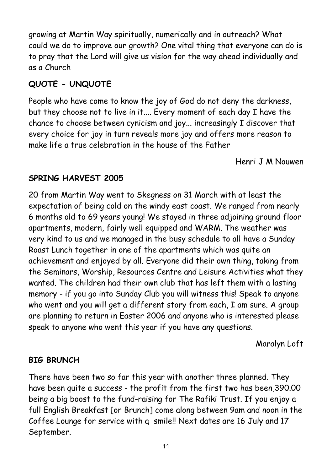growing at Martin Way spiritually, numerically and in outreach? What could we do to improve our growth? One vital thing that everyone can do is to pray that the Lord will give us vision for the way ahead individually and as a Church

# **QUOTE - UNQUOTE**

People who have come to know the joy of God do not deny the darkness, but they choose not to live in it.... Every moment of each day I have the chance to choose between cynicism and joy... increasingly I discover that every choice for joy in turn reveals more joy and offers more reason to make life a true celebration in the house of the Father

Henri J M Nouwen

# **SPRING HARVEST 2005**

20 from Martin Way went to Skegness on 31 March with at least the expectation of being cold on the windy east coast. We ranged from nearly 6 months old to 69 years young! We stayed in three adjoining ground floor apartments, modern, fairly well equipped and WARM. The weather was very kind to us and we managed in the busy schedule to all have a Sunday Roast Lunch together in one of the apartments which was quite an achievement and enjoyed by all. Everyone did their own thing, taking from the Seminars, Worship, Resources Centre and Leisure Activities what they wanted. The children had their own club that has left them with a lasting memory - if you go into Sunday Club you will witness this! Speak to anyone who went and you will get a different story from each, I am sure. A group are planning to return in Easter 2006 and anyone who is interested please speak to anyone who went this year if you have any questions.

Maralyn Loft

# **BIG BRUNCH**

There have been two so far this year with another three planned. They have been quite a success - the profit from the first two has been 390.00 being a big boost to the fund-raising for The Rafiki Trust. If you enjoy a full English Breakfast [or Brunch] come along between 9am and noon in the Coffee Lounge for service with a smile!! Next dates are 16 July and 17 September.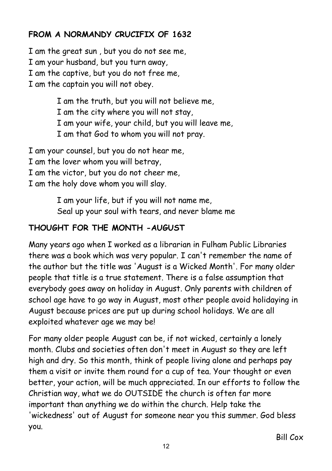# **FROM A NORMANDY CRUCIFIX OF 1632**

I am the great sun , but you do not see me, I am your husband, but you turn away, I am the captive, but you do not free me, I am the captain you will not obey.

> I am the truth, but you will not believe me, I am the city where you will not stay, I am your wife, your child, but you will leave me, I am that God to whom you will not pray.

I am your counsel, but you do not hear me,

- I am the lover whom you will betray,
- I am the victor, but you do not cheer me,
- I am the holy dove whom you will slay.

I am your life, but if you will not name me, Seal up your soul with tears, and never blame me

# **THOUGHT FOR THE MONTH -AUGUST**

Many years ago when I worked as a librarian in Fulham Public Libraries there was a book which was very popular. I can't remember the name of the author but the title was 'August is a Wicked Month'. For many older people that title is a true statement. There is a false assumption that everybody goes away on holiday in August. Only parents with children of school age have to go way in August, most other people avoid holidaying in August because prices are put up during school holidays. We are all exploited whatever age we may be!

For many older people August can be, if not wicked, certainly a lonely month. Clubs and societies often don't meet in August so they are left high and dry. So this month, think of people living alone and perhaps pay them a visit or invite them round for a cup of tea. Your thought or even better, your action, will be much appreciated. In our efforts to follow the Christian way, what we do OUTSIDE the church is often far more important than anything we do within the church. Help take the 'wickedness' out of August for someone near you this summer. God bless you.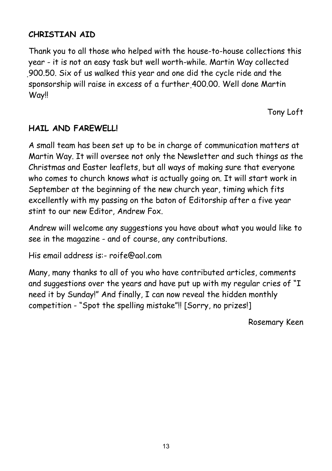#### **CHRISTIAN AID**

Thank you to all those who helped with the house-to-house collections this year - it is not an easy task but well worth-while. Martin Way collected 900.50. Six of us walked this year and one did the cycle ride and the sponsorship will raise in excess of a further 400.00. Well done Martin Way!!

Tony Loft

#### **HAIL AND FAREWELL!**

A small team has been set up to be in charge of communication matters at Martin Way. It will oversee not only the Newsletter and such things as the Christmas and Easter leaflets, but all ways of making sure that everyone who comes to church knows what is actually going on. It will start work in September at the beginning of the new church year, timing which fits excellently with my passing on the baton of Editorship after a five year stint to our new Editor, Andrew Fox.

Andrew will welcome any suggestions you have about what you would like to see in the magazine - and of course, any contributions.

His email address is:- roife@aol.com

Many, many thanks to all of you who have contributed articles, comments and suggestions over the years and have put up with my regular cries of "I need it by Sunday!" And finally, I can now reveal the hidden monthly competition - "Spot the spelling mistake"!! [Sorry, no prizes!]

Rosemary Keen